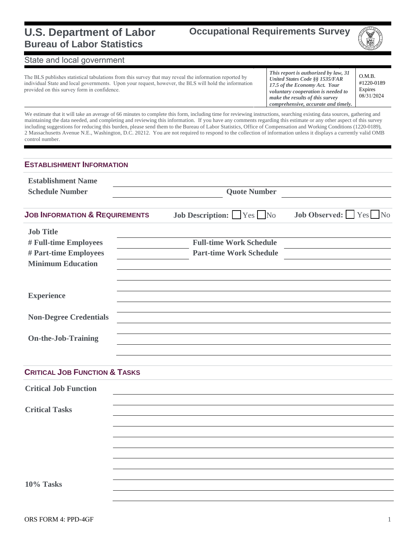#### **U.S. Department of Labor Bureau of Labor Statistics**

**Occupational Requirements Survey**



#### State and local government

The BLS publishes statistical tabulations from this survey that may reveal the information reported by individual State and local governments. Upon your request, however, the BLS will hold the information provided on this survey form in confidence.

*This report is authorized by law, 31 United States Code §§ 1535/FAR 17.5 of the Economy Act. Your voluntary cooperation is needed to make the results of this survey comprehensive, accurate and timely.* O.M.B.

#1220-0189 Expires 08/31/2024

We estimate that it will take an average of 66 minutes to complete this form, including time for reviewing instructions, searching existing data sources, gathering and maintaining the data needed, and completing and reviewing this information. If you have any comments regarding this estimate or any other aspect of this survey including suggestions for reducing this burden, please send them to the Bureau of Labor Statistics, Office of Compensation and Working Conditions (1220-0189), 2 Massachusetts Avenue N.E., Washington, D.C. 20212. You are not required to respond to the collection of information unless it displays a currently valid OMB control number.

| <b>ESTABLISHMENT INFORMATION</b>                                           |                     |                                                                  |  |                             |  |  |  |
|----------------------------------------------------------------------------|---------------------|------------------------------------------------------------------|--|-----------------------------|--|--|--|
| <b>Establishment Name</b><br><b>Schedule Number</b>                        | <b>Quote Number</b> |                                                                  |  |                             |  |  |  |
| <b>JOB INFORMATION &amp; REQUIREMENTS</b>                                  |                     | <b>Job Description:</b> Yes No                                   |  | <b>Job Observed:</b> Yes No |  |  |  |
| <b>Job Title</b>                                                           |                     |                                                                  |  |                             |  |  |  |
| # Full-time Employees<br># Part-time Employees<br><b>Minimum Education</b> |                     | <b>Full-time Work Schedule</b><br><b>Part-time Work Schedule</b> |  |                             |  |  |  |
| <b>Experience</b>                                                          |                     |                                                                  |  |                             |  |  |  |
| <b>Non-Degree Credentials</b>                                              |                     |                                                                  |  |                             |  |  |  |
| <b>On-the-Job-Training</b>                                                 |                     |                                                                  |  |                             |  |  |  |
| <b>CRITICAL JOB FUNCTION &amp; TASKS</b>                                   |                     |                                                                  |  |                             |  |  |  |
| <b>Critical Job Function</b>                                               |                     |                                                                  |  |                             |  |  |  |
| <b>Critical Tasks</b>                                                      |                     |                                                                  |  |                             |  |  |  |
|                                                                            |                     |                                                                  |  |                             |  |  |  |
|                                                                            |                     |                                                                  |  |                             |  |  |  |
|                                                                            |                     |                                                                  |  |                             |  |  |  |
|                                                                            |                     |                                                                  |  |                             |  |  |  |
| 10% Tasks                                                                  |                     |                                                                  |  |                             |  |  |  |
|                                                                            |                     |                                                                  |  |                             |  |  |  |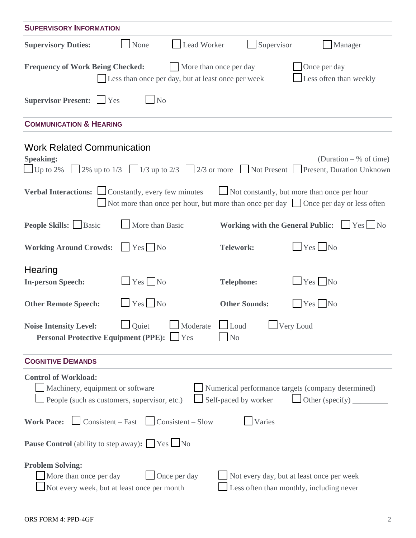| <b>SUPERVISORY INFORMATION</b>                                                                                                                                                                |                      |                                                                                       |  |  |  |  |  |  |
|-----------------------------------------------------------------------------------------------------------------------------------------------------------------------------------------------|----------------------|---------------------------------------------------------------------------------------|--|--|--|--|--|--|
| Lead Worker<br><b>Supervisory Duties:</b><br>None                                                                                                                                             | Supervisor           | Manager                                                                               |  |  |  |  |  |  |
| Once per day<br><b>Frequency of Work Being Checked:</b><br>More than once per day<br>Less often than weekly<br>Less than once per day, but at least once per week                             |                      |                                                                                       |  |  |  |  |  |  |
| Supervisor Present: Ves<br>N <sub>o</sub>                                                                                                                                                     |                      |                                                                                       |  |  |  |  |  |  |
| <b>COMMUNICATION &amp; HEARING</b>                                                                                                                                                            |                      |                                                                                       |  |  |  |  |  |  |
| <b>Work Related Communication</b><br><b>Speaking:</b><br>Up to 2% 2% up to 1/3 1/3 up to 2/3 2/3 or more Not Present Present, Duration Unknown                                                |                      | (Duration $-$ % of time)                                                              |  |  |  |  |  |  |
| Verbal Interactions: Constantly, every few minutes<br>Not more than once per hour, but more than once per day Once per day or less often                                                      |                      | Not constantly, but more than once per hour                                           |  |  |  |  |  |  |
| <b>People Skills:</b> Basic<br>More than Basic                                                                                                                                                |                      | Working with the General Public: Simples No                                           |  |  |  |  |  |  |
| <b>Working Around Crowds:</b><br>Yes No                                                                                                                                                       | <b>Telework:</b>     | $Yes$ No                                                                              |  |  |  |  |  |  |
| Hearing<br>$Yes$ No<br><b>In-person Speech:</b>                                                                                                                                               | <b>Telephone:</b>    | $Yes$ No                                                                              |  |  |  |  |  |  |
| $\Box$ Yes $\Box$ No<br><b>Other Remote Speech:</b>                                                                                                                                           | <b>Other Sounds:</b> | $Yes$ No                                                                              |  |  |  |  |  |  |
| <u>I</u> Quiet <u>I</u> Moderate LI Loud<br>Very Loud<br><b>Noise Intensity Level:</b><br><b>Personal Protective Equipment (PPE):</b> Tes<br>N <sub>0</sub>                                   |                      |                                                                                       |  |  |  |  |  |  |
| <b>COGNITIVE DEMANDS</b>                                                                                                                                                                      |                      |                                                                                       |  |  |  |  |  |  |
| <b>Control of Workload:</b><br>Machinery, equipment or software<br>Numerical performance targets (company determined)<br>People (such as customers, supervisor, etc.)<br>Self-paced by worker |                      |                                                                                       |  |  |  |  |  |  |
| <b>Work Pace:</b> $\Box$ Consistent – Fast $\Box$ Consistent – Slow                                                                                                                           | Varies               |                                                                                       |  |  |  |  |  |  |
| <b>Pause Control</b> (ability to step away): $\Box$ Yes $\Box$ No                                                                                                                             |                      |                                                                                       |  |  |  |  |  |  |
| <b>Problem Solving:</b><br>More than once per day<br>Once per day<br>Not every week, but at least once per month                                                                              |                      | Not every day, but at least once per week<br>Less often than monthly, including never |  |  |  |  |  |  |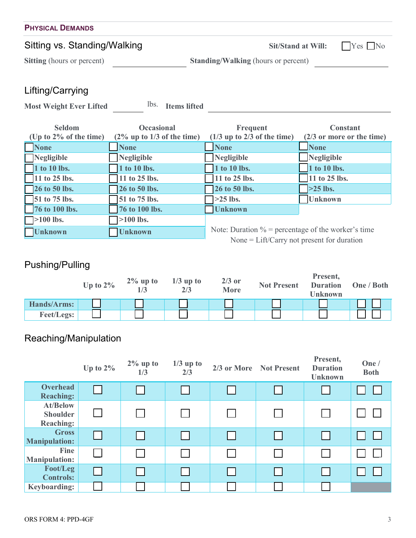| <b>PHYSICAL DEMANDS</b>           |                                            |                      |  |  |  |  |  |
|-----------------------------------|--------------------------------------------|----------------------|--|--|--|--|--|
| Sitting vs. Standing/Walking      | <b>Sit/Stand at Will:</b>                  | $\mid$ Yes $\mid$ No |  |  |  |  |  |
| <b>Sitting</b> (hours or percent) | <b>Standing/Walking (hours or percent)</b> |                      |  |  |  |  |  |
| $l$ ifting $l$ carning            |                                            |                      |  |  |  |  |  |

### Lifting/Carrying

Most Weight Ever Lifted **lbs.** Items lifted

| <b>Seldom</b>             | <b>Occasional</b>             | Frequent                                              | <b>Constant</b>              |
|---------------------------|-------------------------------|-------------------------------------------------------|------------------------------|
| (Up to $2\%$ of the time) | $(2\%$ up to 1/3 of the time) | $(1/3$ up to 2/3 of the time)                         | $(2/3)$ or more or the time) |
| <b>None</b>               | <b>None</b>                   | <b>None</b>                                           | <b>None</b>                  |
| Negligible                | Negligible                    | Negligible                                            | Negligible                   |
| 1 to 10 lbs.              | 1 to 10 lbs.                  | 1 to 10 lbs.                                          | 1 to 10 lbs.                 |
| 11 to 25 lbs.             | 11 to 25 lbs.                 | 11 to 25 lbs.                                         | 11 to 25 lbs.                |
| <b>26 to 50 lbs.</b>      | 26 to 50 lbs.                 | 26 to 50 lbs.                                         | $>25$ lbs.                   |
| $\sqrt{51}$ to 75 lbs.    | 51 to 75 lbs.                 | $>25$ lbs.                                            | <b>Unknown</b>               |
| 76 to 100 lbs.            | 76 to 100 lbs.                | <b>Unknown</b>                                        |                              |
| $\Box$ >100 lbs.          | $\geq 100$ lbs.               |                                                       |                              |
| <b>Unknown</b>            | <b>Unknown</b>                | Note: Duration $\%$ = percentage of the worker's time |                              |
|                           |                               | None = $Lift/Carry$ not present for duration          |                              |

## Pushing/Pulling

|                   | Up to $2\%$ | $2\%$ up to | $1/3$ up to<br>2/3 | $2/3$ or<br><b>More</b> | <b>Not Present</b> | Present,<br><b>Duration</b><br>Unknown | One / Both |
|-------------------|-------------|-------------|--------------------|-------------------------|--------------------|----------------------------------------|------------|
| Hands/Arms:       |             |             |                    |                         |                    |                                        |            |
| <b>Feet/Legs:</b> |             |             |                    |                         |                    |                                        |            |

# Reaching/Manipulation

|                                                        | Up to $2\%$ | $2\%$ up to<br>1/3 | $1/3$ up to<br>2/3 | 2/3 or More Not Present | Present,<br><b>Duration</b><br><b>Unknown</b> | One /<br><b>Both</b> |
|--------------------------------------------------------|-------------|--------------------|--------------------|-------------------------|-----------------------------------------------|----------------------|
| <b>Overhead</b><br><b>Reaching:</b>                    |             |                    | I.                 |                         |                                               |                      |
| <b>At/Below</b><br><b>Shoulder</b><br><b>Reaching:</b> |             |                    |                    |                         |                                               |                      |
| <b>Gross</b><br><b>Manipulation:</b>                   |             |                    | I I                |                         |                                               |                      |
| Fine<br><b>Manipulation:</b>                           |             |                    |                    |                         |                                               |                      |
| Foot/Leg<br><b>Controls:</b>                           |             |                    |                    |                         |                                               |                      |
| <b>Keyboarding:</b>                                    |             |                    |                    |                         |                                               |                      |